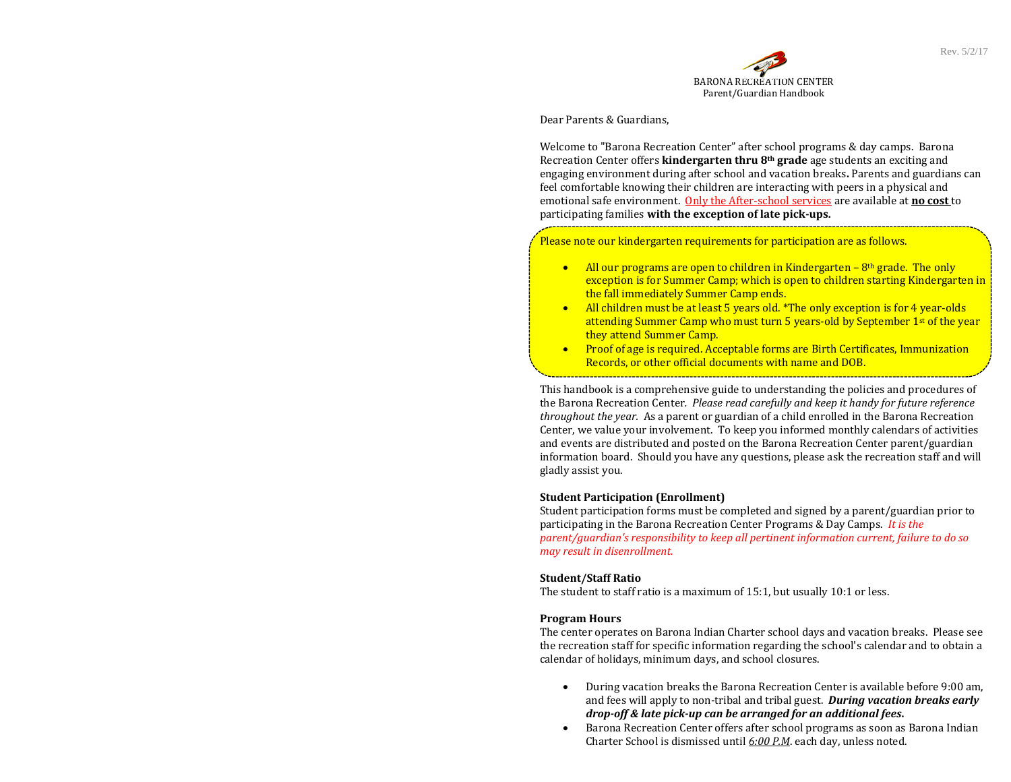

Dear Parents & Guardians,

Welcome to "Barona Recreation Center" after school programs & day camps. Barona Recreation Center offers **kindergarten thru 8<sup>th</sup> grade** age students an exciting and engaging environment during after school and vacation breaks. Parents and guardians can feel comfortable knowing their children are interacting with peers in a physical and emotional safe environment. Only the After-school services are available at **no** cost to participating families **with the exception of late pick‐ups.**

Please note our kindergarten requirements for participation are as follows.

- All our programs are open to children in Kindergarten  $8<sup>th</sup>$  grade. The only exception is for Summer Camp; which is open to children starting Kindergarten in the fall immediately Summer Camp ends.
- All children must be at least 5 years old. \*The only exception is for 4 year-olds attending Summer Camp who must turn 5 years-old by September  $1<sup>st</sup>$  of the year they attend Summer Camp.
- $\bullet$ Proof of age is required. Acceptable forms are Birth Certificates, Immunization Records, or other official documents with name and DOB.

This handbook is a comprehensive guide to understanding the policies and procedures of the Barona Recreation Center*. Please read carefully and keep it handy for future reference throughout the year.* As a parent or guardian of a child enrolled in the Barona Recreation Center, we value your involvement. To keep you informed monthly calendars of activities and events are distributed and posted on the Barona Recreation Center parent/guardian information board. Should you have any questions, please ask the recreation staff and will gladly assist you.

#### **Student Participation (Enrollment)**

Student participation forms must be completed and signed by a parent/guardian prior to participating in the Barona Recreation Center Programs & Day Camps. It is the *parent/guardian's responsibility to keep all pertinent information current, failure to do so may result in disenrollment.*

#### **Student/Staff Ratio**

The student to staff ratio is a maximum of  $15:1$ , but usually  $10:1$  or less.

#### **Program Hours**

The center operates on Barona Indian Charter school days and vacation breaks. Please see the recreation staff for specific information regarding the school's calendar and to obtain a calendar of holidays, minimum days, and school closures.

- $\bullet$ During vacation breaks the Barona Recreation Center is available before 9:00 am, and fees will apply to non-tribal and tribal guest. **During vacation breaks early** *drop‐off & late pick‐up can be arranged for an additional fees***.**
- $\bullet$ Barona Recreation Center offers after school programs as soon as Barona Indian Charter School is dismissed until <u>6:00 P.M</u>. each day, unless noted.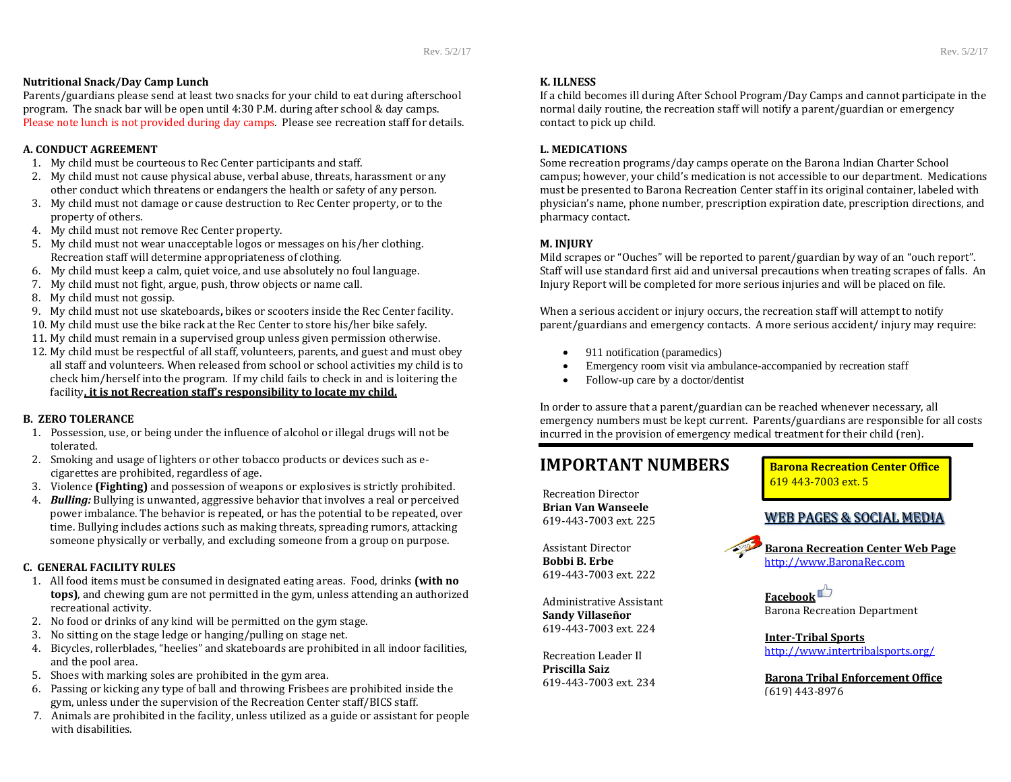## **Nutritional Snack/Day Camp Lunch**

Parents/guardians please send at least two snacks for your child to eat during afterschool program. The snack bar will be open until  $4:30$  P.M. during after school & day camps. Please note lunch is not provided during day camps. Please see recreation staff for details.

## **A. CONDUCT AGREEMENT**

- 1. My child must be courteous to Rec Center participants and staff.
- 2. My child must not cause physical abuse, verbal abuse, threats, harassment or any other conduct which threatens or endangers the health or safety of any person.
- 3. My child must not damage or cause destruction to Rec Center property, or to the property of others.
- 4. My child must not remove Rec Center property.
- 5. My child must not wear unacceptable logos or messages on his/her clothing. Recreation staff will determine appropriateness of clothing.
- 6. My child must keep a calm, quiet voice, and use absolutely no foul language.
- 7. My child must not fight, argue, push, throw objects or name call.
- 8. My child must not gossip.
- 9. My child must not use skateboards**,** bikes or scooters inside the Rec Center facility.
- 10. My child must use the bike rack at the Rec Center to store his/her bike safely.  $\,$
- 11. My child must remain in a supervised group unless given permission otherwise.
- 12. My child must be respectful of all staff, volunteers, parents, and guest and must obey all staff and volunteers. When released from school or school activities my child is to check him/herself into the program. If my child fails to check in and is loitering the facility**, it is not Recreation staff's responsibility to locate my child.**

## **B. ZERO TOLERANCE**

- 1. Possession, use, or being under the influence of alcohol or illegal drugs will not be tolerated.
- 2. Smoking and usage of lighters or other tobacco products or devices such as ecigarettes are prohibited, regardless of age.
- 3. Violence **(Fighting)** and possession of weapons or explosives is strictly prohibited.
- 4.**Bulling:** Bullying is unwanted, aggressive behavior that involves a real or perceived power imbalance. The behavior is repeated, or has the potential to be repeated, over time. Bullying includes actions such as making threats, spreading rumors, attacking someone physically or verbally, and excluding someone from a group on purpose.

## **C. GENERAL FACILITY RULES**

- 1. All food items must be consumed in designated eating areas. Food, drinks **(with no tops)**, and chewing gum are not permitted in the gym, unless attending an authorized recreational activity.
- 2. No food or drinks of any kind will be permitted on the gym stage.
- 3. No sitting on the stage ledge or hanging/pulling on stage net.
- 4. Bicycles, rollerblades, "heelies" and skateboards are prohibited in all indoor facilities, and the pool area.
- 5. Shoes with marking soles are prohibited in the gym area.
- 6. Passing or kicking any type of ball and throwing Frisbees are prohibited inside the gym, unless under the supervision of the Recreation Center staff/BICS staff.
- 7. Animals are prohibited in the facility, unless utilized as a guide or assistant for people with disabilities.

# **K. ILLNESS**

If a child becomes ill during After School Program/Day Camps and cannot participate in the normal daily routine, the recreation staff will notify a parent/guardian or emergency contact to pick up child.

## **L. MEDICATIONS**

Some recreation programs/day camps operate on the Barona Indian Charter School campus; however, your child's medication is not accessible to our department. Medications must be presented to Barona Recreation Center staff in its original container, labeled with physician's name, phone number, prescription expiration date, prescription directions, and pharmacy contact. 

## **M. INJURY**

Mild scrapes or "Ouches" will be reported to parent/guardian by way of an "ouch report". Staff will use standard first aid and universal precautions when treating scrapes of falls. An Injury Report will be completed for more serious injuries and will be placed on file.

When a serious accident or injury occurs, the recreation staff will attempt to notify parent/guardians and emergency contacts. A more serious accident/ injury may require:

- $\bullet$ 911 notification (paramedics)
- $\bullet$ Emergency room visit via ambulance-accompanied by recreation staff
- $\bullet$ Follow-up care by a doctor/dentist

In order to assure that a parent/guardian can be reached whenever necessary, all emergency numbers must be kept current. Parents/guardians are responsible for all costs incurred in the provision of emergency medical treatment for their child (ren).

# **IMPORTANT**

Recreation Director**Brian Van Wanseele** 619‐443‐7003 ext. 225 

Assistant Director **Bobbi B. Erbe**619‐443‐7003 ext. 222 

Administrative Assistant **Sandy Villaseñor** 619‐443‐7003 ext. 224 

Recreation Leader II **Priscilla Saiz** 619‐443‐7003 ext. 234  **Barona Recreation Center Office** 619 443‐7003 ext. 5 

# WEB PAGES & SOCIAL MEDIA

**Barona Recreation Center Web Page** http://www.BaronaRec.com

**Facebook** Barona Recreation Department 

**Inter‐Tribal Sports** http://www.intertribalsports.org/

**Barona Tribal Enforcement Office** (619) 443‐8976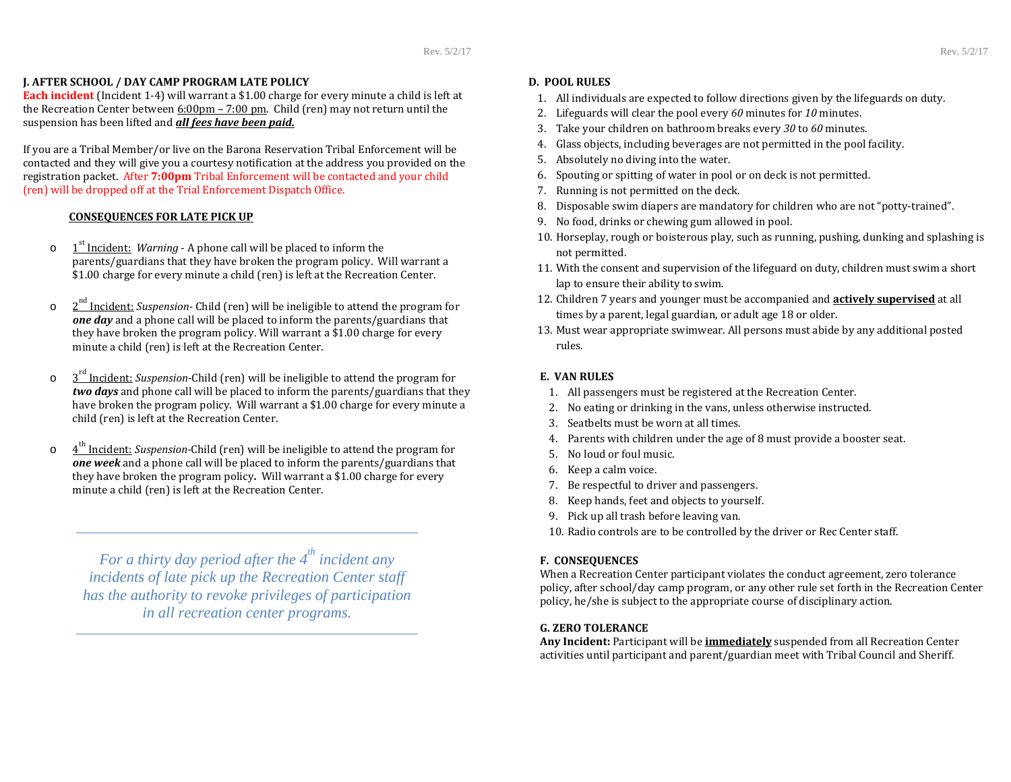# **J. AFTER SCHOOL / DAY CAMP PROGRAM LATE POLICY**

**Each incident** (Incident 1-4) will warrant a \$1.00 charge for every minute a child is left at the Recreation Center between  $6:00 \text{pm} - 7:00 \text{pm}$ . Child (ren) may not return until the suspension has been lifted and *all fees have been paid.*

If you are a Tribal Member/or live on the Barona Reservation Tribal Enforcement will be contacted and they will give you a courtesy notification at the address you provided on the registration packet. After **7:00pm** Tribal Enforcement will be contacted and your child (ren) will be dropped off at the Trial Enforcement Dispatch Office.

## **CONSEQUENCES FOR LATE PICK UP**

- o1<sup>st</sup> Incident: *Warning* - A phone call will be placed to inform the parents/guardians that they have broken the program policy. Will warrant a \$1.00 charge for every minute a child (ren) is left at the Recreation Center.
- o $2<sup>nd</sup>$  Incident: *Suspension*- Child (ren) will be ineligible to attend the program for *one day* and a phone call will be placed to inform the parents/guardians that they have broken the program policy. Will warrant a \$1.00 charge for every minute a child (ren) is left at the Recreation Center.
- o $3<sup>rd</sup>$  Incident: *Suspension*-Child (ren) will be ineligible to attend the program for *two days* and phone call will be placed to inform the parents/guardians that they have broken the program policy. Will warrant a \$1.00 charge for every minute a child (ren) is left at the Recreation Center.
- o4<sup>th</sup> Incident: *Suspension*-Child (ren) will be ineligible to attend the program for **one week** and a phone call will be placed to inform the parents/guardians that they have broken the program policy. Will warrant a \$1.00 charge for every minute a child (ren) is left at the Recreation Center.

*For a thirty day period after the 4th incident any incidents of late pick up the Recreation Center staff has the authority to revoke privileges of participation in all recreation center programs.* 

# **D. POOL RULES**

- 1. All individuals are expected to follow directions given by the lifeguards on duty.
- 2. Lifeguards will clear the pool every 60 minutes for 10 minutes.
- 3. Take your children on bathroom breaks every 30 to 60 minutes.
- 4. Glass objects, including beverages are not permitted in the pool facility.
- 5. Absolutely no diving into the water.
- 6. Spouting or spitting of water in pool or on deck is not permitted.
- 7. Running is not permitted on the deck.
- 8. Disposable swim diapers are mandatory for children who are not "potty-trained".
- 9. No food, drinks or chewing gum allowed in pool.
- $10.$  Horseplay, rough or boisterous play, such as running, pushing, dunking and splashing is  $\,$ not permitted.
- 11. With the consent and supervision of the lifeguard on duty, children must swim a short lap to ensure their ability to swim.
- **12. Children 7** years and younger must be accompanied and **<u>actively supervised</u>** at all times by a parent, legal guardian, or adult age 18 or older.
- $13.$  Must wear appropriate swimwear. All persons must abide by any additional posted  $\,$ rules.

# **E. VAN RULES**

- 1. All passengers must be registered at the Recreation Center.
- 2. No eating or drinking in the vans, unless otherwise instructed.
- 3. Seatbelts must be worn at all times.
- 4. Parents with children under the age of 8 must provide a booster seat.
- 5. No loud or foul music.
- 6. Keep a calm voice.
- 7. Be respectful to driver and passengers.
- 8. Keep hands, feet and objects to yourself.
- 9. Pick up all trash before leaving van.
- 10. Radio controls are to be controlled by the driver or Rec Center staff.

# **F. CONSEQUENCES**

When a Recreation Center participant violates the conduct agreement, zero tolerance policy, after school/day camp program, or any other rule set forth in the Recreation Center policy, he/she is subject to the appropriate course of disciplinary action.

# **G. ZERO TOLERANCE**

Any Incident: Participant will be *immediately* suspended from all Recreation Center activities until participant and parent/guardian meet with Tribal Council and Sheriff.